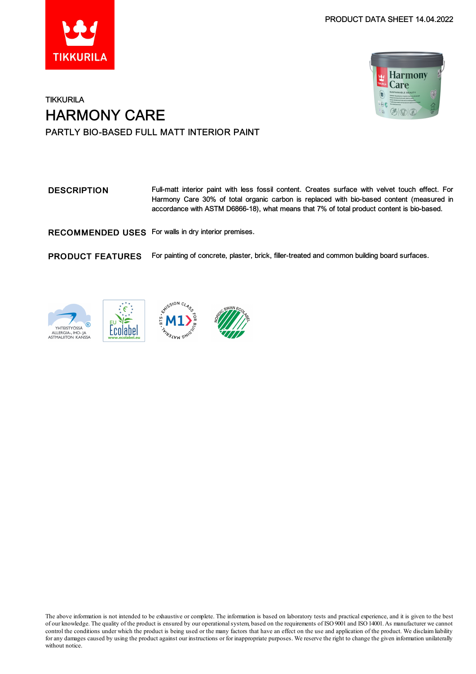



### **TIKKURILA** HARMONY CARE PARTLY BIO-BASED FULL MATT INTERIOR PAINT

DESCRIPTION Full-matt interior paint with less fossil content. Creates surface with velvet touch effect. For Harmony Care 30% of total organic carbon is replaced with bio-based content (measured in accordance with ASTM D6866-18), what means that 7% of total product content is bio-based.

RECOMMENDED USES For walls in dry interior premises.

PRODUCT FEATURES For painting of concrete, plaster, brick, filler-treated and common building board surfaces.







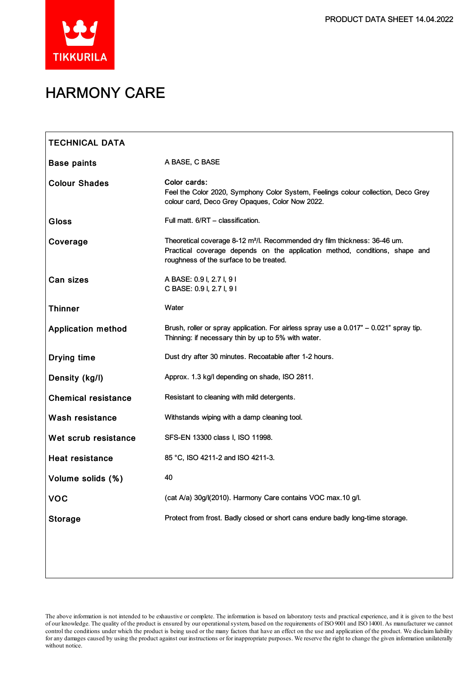

# HARMONY CARE

| <b>TECHNICAL DATA</b>      |                                                                                                                                                                                                                  |
|----------------------------|------------------------------------------------------------------------------------------------------------------------------------------------------------------------------------------------------------------|
| <b>Base paints</b>         | A BASE, C BASE                                                                                                                                                                                                   |
| <b>Colour Shades</b>       | Color cards:<br>Feel the Color 2020, Symphony Color System, Feelings colour collection, Deco Grey<br>colour card, Deco Grey Opaques, Color Now 2022.                                                             |
| Gloss                      | Full matt. 6/RT - classification.                                                                                                                                                                                |
| Coverage                   | Theoretical coverage 8-12 m <sup>2</sup> /l. Recommended dry film thickness: 36-46 um.<br>Practical coverage depends on the application method, conditions, shape and<br>roughness of the surface to be treated. |
| <b>Can sizes</b>           | A BASE: 0.9 I, 2.7 I, 9 I<br>C BASE: 0.9 I, 2.7 I, 9 I                                                                                                                                                           |
| <b>Thinner</b>             | Water                                                                                                                                                                                                            |
| <b>Application method</b>  | Brush, roller or spray application. For airless spray use a $0.017 - 0.021$ " spray tip.<br>Thinning: if necessary thin by up to 5% with water.                                                                  |
| <b>Drying time</b>         | Dust dry after 30 minutes. Recoatable after 1-2 hours.                                                                                                                                                           |
| Density (kg/l)             | Approx. 1.3 kg/l depending on shade, ISO 2811.                                                                                                                                                                   |
| <b>Chemical resistance</b> | Resistant to cleaning with mild detergents.                                                                                                                                                                      |
| Wash resistance            | Withstands wiping with a damp cleaning tool.                                                                                                                                                                     |
| Wet scrub resistance       | SFS-EN 13300 class I, ISO 11998.                                                                                                                                                                                 |
| <b>Heat resistance</b>     | 85 °C, ISO 4211-2 and ISO 4211-3.                                                                                                                                                                                |
| Volume solids (%)          | 40                                                                                                                                                                                                               |
| <b>VOC</b>                 | (cat A/a) 30g/l(2010). Harmony Care contains VOC max.10 g/l.                                                                                                                                                     |
| <b>Storage</b>             | Protect from frost. Badly closed or short cans endure badly long-time storage.                                                                                                                                   |
|                            |                                                                                                                                                                                                                  |
|                            |                                                                                                                                                                                                                  |

The above information is not intended to be exhaustive or complete. The information is based on laboratory tests and practical experience, and it is given to the best of our knowledge. The quality of the product is ensured by our operationalsystem, based on the requirements of ISO9001 and ISO14001.As manufacturer we cannot control the conditions under which the product is being used or the many factors that have an effect on the use and application of the product. We disclaimliability forany damages caused by using the product against our instructions or for inappropriate purposes. We reserve the right to change the given information unilaterally without notice.